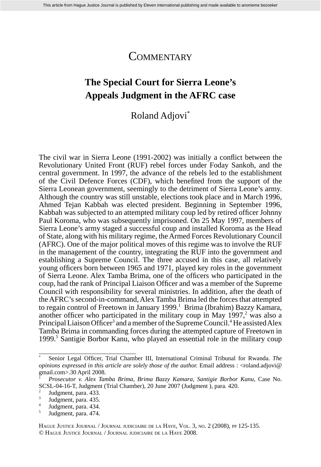## **COMMENTARY**

## **The Special Court for Sierra Leone's Appeals Judgment in the AFRC case**

## Roland Adjovi\*

The civil war in Sierra Leone (1991-2002) was initially a conflict between the Revolutionary United Front (RUF) rebel forces under Foday Sankoh, and the central government. In 1997, the advance of the rebels led to the establishment of the Civil Defence Forces (CDF), which benefited from the support of the Sierra Leonean government, seemingly to the detriment of Sierra Leone's army. Although the country was still unstable, elections took place and in March 1996, Ahmed Tejan Kabbah was elected president. Beginning in September 1996, Kabbah was subjected to an attempted military coup led by retired officer Johnny Paul Koroma, who was subsequently imprisoned. On 25 May 1997, members of Sierra Leone's army staged a successful coup and installed Koroma as the Head of State, along with his military regime, the Armed Forces Revolutionary Council (AFRC). One of the major political moves of this regime was to involve the RUF in the management of the country, integrating the RUF into the government and establishing a Supreme Council. The three accused in this case, all relatively young officers born between 1965 and 1971, played key roles in the government of Sierra Leone. Alex Tamba Brima, one of the officers who participated in the coup, had the rank of Principal Liaison Officer and was a member of the Supreme Council with responsibility for several ministries. In addition, after the death of the AFRC's second-in-command, Alex Tamba Brima led the forces that attempted to regain control of Freetown in January 1999.<sup>1</sup> Brima (Ibrahim) Bazzy Kamara, another officer who participated in the military coup in May  $1997$ ,<sup>2</sup> was also a Principal Liaison Officer<sup>3</sup> and a member of the Supreme Council.<sup>4</sup> He assisted Alex Tamba Brima in commanding forces during the attempted capture of Freetown in 1999.<sup>5</sup> Santigie Borbor Kanu, who played an essential role in the military coup

Senior Legal Officer, Trial Chamber III, International Criminal Tribunal for Rwanda. *The opinions expressed in this article are solely those of the author.* Email address : <roland.adjovi@ gmail.com>.30 April 2008.

<sup>1</sup>*Prosecutor v. Alex Tamba Brima, Brima Bazzy Kamara, Santigie Borbor Kanu*, Case No. SCSL-04-16-T, Judgment (Trial Chamber), 20 June 2007 (Judgment ), para. 420.

<sup>&</sup>lt;sup>2</sup> Judgment, para. 433.<br><sup>3</sup> Judgment, para. 434.<br><sup>5</sup> Judgment, para. 474.

HAGUE JUSTICE JOURNAL / JOURNAL JUDICIAIRE DE LA HAYE, VOL. 3, NO. 2 (2008), PP 125-135. © HAGUE JUSTICE JOURNAL / JOURNAL JUDICIAIRE DE LA HAYE 2008.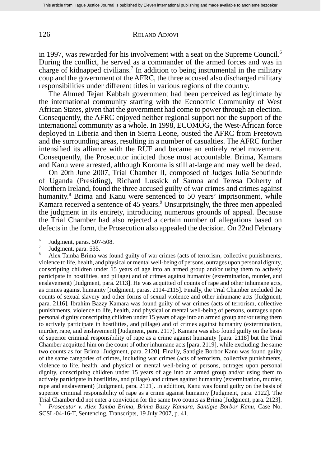in 1997, was rewarded for his involvement with a seat on the Supreme Council.<sup>6</sup> During the conflict, he served as a commander of the armed forces and was in charge of kidnapped civilians.<sup>7</sup> In addition to being instrumental in the military coup and the government of the AFRC, the three accused also discharged military responsibilities under different titles in various regions of the country.

 The Ahmed Tejan Kabbah government had been perceived as legitimate by the international community starting with the Economic Community of West African States, given that the government had come to power through an election. Consequently, the AFRC enjoyed neither regional support nor the support of the international community as a whole. In 1998, ECOMOG, the West-African force deployed in Liberia and then in Sierra Leone, ousted the AFRC from Freetown and the surrounding areas, resulting in a number of casualties. The AFRC further intensified its alliance with the RUF and became an entirely rebel movement. Consequently, the Prosecutor indicted those most accountable. Brima, Kamara and Kanu were arrested, although Koroma is still at-large and may well be dead.

 On 20th June 2007, Trial Chamber II, composed of Judges Julia Sebutinde of Uganda (Presiding), Richard Lussick of Samoa and Teresa Doherty of Northern Ireland, found the three accused guilty of war crimes and crimes against humanity.<sup>8</sup> Brima and Kanu were sentenced to 50 years' imprisonment, while Kamara received a sentence of 45 years.<sup>9</sup> Unsurprisingly, the three men appealed the judgment in its entirety, introducing numerous grounds of appeal. Because the Trial Chamber had also rejected a certain number of allegations based on defects in the form, the Prosecution also appealed the decision. On 22nd February

<sup>9</sup>*Prosecutor v. Alex Tamba Brima, Brima Bazzy Kamara, Santigie Borbor Kanu*, Case No. SCSL-04-16-T, Sentencing, Transcripts, 19 July 2007, p. 41.

Fologment, paras. 507-508.<br>
Fologment, para. 535.<br>
8 Alex Tamba Brima was found guilty of war crimes (acts of terrorism, collective punishments, violence to life, health, and physical or mental well-being of persons, outrages upon personal dignity, conscripting children under 15 years of age into an armed group and/or using them to actively participate in hostilities, and pillage) and of crimes against humanity (extermination, murder, and enslavement) [Judgment, para. 2113]. He was acquitted of counts of rape and other inhumane acts, as crimes against humanity [Judgment, paras. 2114-2115]. Finally, the Trial Chamber excluded the counts of sexual slavery and other forms of sexual violence and other inhumane acts [Judgment, para. 2116]. Ibrahim Bazzy Kamara was found guilty of war crimes (acts of terrorism, collective punishments, violence to life, health, and physical or mental well-being of persons, outrages upon personal dignity conscripting children under 15 years of age into an armed group and/or using them to actively participate in hostilities, and pillage) and of crimes against humanity (extermination, murder, rape, and enslavement) [Judgment, para. 2117]. Kamara was also found guilty on the basis of superior criminal responsibility of rape as a crime against humanity [para. 2118] but the Trial Chamber acquitted him on the count of other inhumane acts [para. 2119], while excluding the same two counts as for Brima [Judgment, para. 2120]. Finally, Santigie Borbor Kanu was found guilty of the same categories of crimes, including war crimes (acts of terrorism, collective punishments, violence to life, health, and physical or mental well-being of persons, outrages upon personal dignity, conscripting children under 15 years of age into an armed group and/or using them to actively participate in hostilities, and pillage) and crimes against humanity (extermination, murder, rape and enslavement) [Judgment, para. 2121]. In addition, Kanu was found guilty on the basis of superior criminal responsibility of rape as a crime against humanity [Judgment, para. 2122]. The Trial Chamber did not enter a conviction for the same two counts as Brima [Judgment, para. 2123].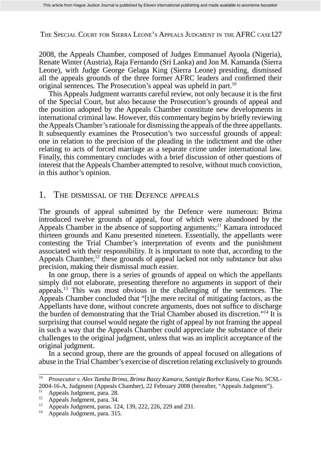2008, the Appeals Chamber, composed of Judges Emmanuel Ayoola (Nigeria), Renate Winter (Austria), Raja Fernando (Sri Lanka) and Jon M. Kamanda (Sierra Leone), with Judge George Gelaga King (Sierra Leone) presiding, dismissed all the appeals grounds of the three former AFRC leaders and confirmed their original sentences. The Prosecution's appeal was upheld in part.10

This Appeals Judgment warrants careful review, not only because it is the first of the Special Court, but also because the Prosecution's grounds of appeal and the position adopted by the Appeals Chamber constitute new developments in international criminal law. However, this commentary begins by briefly reviewing the Appeals Chamber's rationale for dismissing the appeals of the three appellants. It subsequently examines the Prosecution's two successful grounds of appeal: one in relation to the precision of the pleading in the indictment and the other relating to acts of forced marriage as a separate crime under international law. Finally, this commentary concludes with a brief discussion of other questions of interest that the Appeals Chamber attempted to resolve, without much conviction, in this author's opinion.

#### 1. THE DISMISSAL OF THE DEFENCE APPEALS

The grounds of appeal submitted by the Defence were numerous: Brima introduced twelve grounds of appeal, four of which were abandoned by the Appeals Chamber in the absence of supporting arguments;<sup>11</sup> Kamara introduced thirteen grounds and Kanu presented nineteen. Essentially, the appellants were contesting the Trial Chamber's interpretation of events and the punishment associated with their responsibility. It is important to note that, according to the Appeals Chamber, $12$  these grounds of appeal lacked not only substance but also precision, making their dismissal much easier.

 In one group, there is a series of grounds of appeal on which the appellants simply did not elaborate, presenting therefore no arguments in support of their appeals.13 This was most obvious in the challenging of the sentences. The Appeals Chamber concluded that "[t]he mere recital of mitigating factors, as the Appellants have done, without concrete arguments, does not suffice to discharge the burden of demonstrating that the Trial Chamber abused its discretion."14 It is surprising that counsel would negate the right of appeal by not framing the appeal in such a way that the Appeals Chamber could appreciate the substance of their challenges to the original judgment, unless that was an implicit acceptance of the original judgment.

 In a second group, there are the grounds of appeal focused on allegations of abuse in the Trial Chamber's exercise of discretion relating exclusively to grounds

<sup>10</sup> *Prosecutor v. Alex Tamba Brima, Brima Bazzy Kamara, Santigie Borbor Kanu*, Case No. SCSL-2004-16-A, Judgment (Appeals Chamber), 22 February 2008 (hereafter, "Appeals Judgment").<br><sup>11</sup> Appeals Judgment, para. 28.<br><sup>12</sup> Appeals Judgment, para. 34.

<sup>&</sup>lt;sup>13</sup> Appeals Judgment, paras. 124, 139, 222, 226, 229 and 231.

<sup>14</sup> Appeals Judgment, para. 315.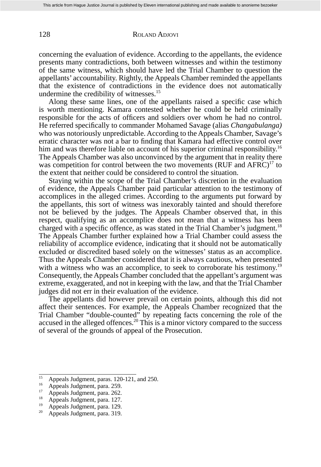concerning the evaluation of evidence. According to the appellants, the evidence presents many contradictions, both between witnesses and within the testimony of the same witness, which should have led the Trial Chamber to question the appellants' accountability. Rightly, the Appeals Chamber reminded the appellants that the existence of contradictions in the evidence does not automatically undermine the credibility of witnesses.<sup>15</sup>

Along these same lines, one of the appellants raised a specific case which is worth mentioning. Kamara contested whether he could be held criminally responsible for the acts of officers and soldiers over whom he had no control. He referred specifically to commander Mohamed Savage (alias *Changabulanga*) who was notoriously unpredictable. According to the Appeals Chamber, Savage's erratic character was not a bar to finding that Kamara had effective control over him and was therefore liable on account of his superior criminal responsibility.<sup>16</sup> The Appeals Chamber was also unconvinced by the argument that in reality there was competition for control between the two movements (RUF and  $AFRC$ )<sup>17</sup> to the extent that neither could be considered to control the situation.

 Staying within the scope of the Trial Chamber's discretion in the evaluation of evidence, the Appeals Chamber paid particular attention to the testimony of accomplices in the alleged crimes. According to the arguments put forward by the appellants, this sort of witness was inexorably tainted and should therefore not be believed by the judges. The Appeals Chamber observed that, in this respect, qualifying as an accomplice does not mean that a witness has been charged with a specific offence, as was stated in the Trial Chamber's judgment.<sup>18</sup> The Appeals Chamber further explained how a Trial Chamber could assess the reliability of accomplice evidence, indicating that it should not be automatically excluded or discredited based solely on the witnesses' status as an accomplice. Thus the Appeals Chamber considered that it is always cautious, when presented with a witness who was an accomplice, to seek to corroborate his testimony.<sup>19</sup> Consequently, the Appeals Chamber concluded that the appellant's argument was extreme, exaggerated, and not in keeping with the law, and that the Trial Chamber judges did not err in their evaluation of the evidence.

 The appellants did however prevail on certain points, although this did not affect their sentences. For example, the Appeals Chamber recognized that the Trial Chamber "double-counted" by repeating facts concerning the role of the accused in the alleged offences.<sup>20</sup> This is a minor victory compared to the success of several of the grounds of appeal of the Prosecution.

 $\frac{15}{15}$  Appeals Judgment, paras. 120-121, and 250.

<sup>&</sup>lt;sup>16</sup> Appeals Judgment, para. 259.<br><sup>17</sup> Appeals Judgment, para. 262.<br><sup>18</sup> Appeals Judgment, para. 127.

 $19 \text{ Appendix}$  Appeals Judgment, para. 129.

Appeals Judgment, para. 319.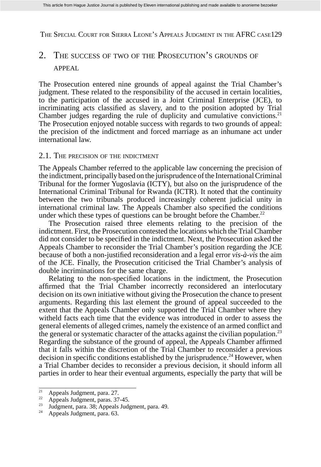# 2. THE SUCCESS OF TWO OF THE PROSECUTION'S GROUNDS OF

### APPEAL

The Prosecution entered nine grounds of appeal against the Trial Chamber's judgment. These related to the responsibility of the accused in certain localities, to the participation of the accused in a Joint Criminal Enterprise (JCE), to incriminating acts classified as slavery, and to the position adopted by Trial Chamber judges regarding the rule of duplicity and cumulative convictions.<sup>21</sup> The Prosecution enjoyed notable success with regards to two grounds of appeal: the precision of the indictment and forced marriage as an inhumane act under international law.

#### 2.1. THE PRECISION OF THE INDICTMENT

The Appeals Chamber referred to the applicable law concerning the precision of the indictment, principally based on the jurisprudence of the International Criminal Tribunal for the former Yugoslavia (ICTY), but also on the jurisprudence of the International Criminal Tribunal for Rwanda (ICTR). It noted that the continuity between the two tribunals produced increasingly coherent judicial unity in international criminal law. The Appeals Chamber also specified the conditions under which these types of questions can be brought before the Chamber.<sup>22</sup>

 The Prosecution raised three elements relating to the precision of the indictment. First, the Prosecution contested the locations which the Trial Chamber did not consider to be specified in the indictment. Next, the Prosecution asked the Appeals Chamber to reconsider the Trial Chamber's position regarding the JCE because of both a non-justified reconsideration and a legal error *vis-à-vis* the aim of the JCE. Finally, the Prosecution criticised the Trial Chamber's analysis of double incriminations for the same charge.

Relating to the non-specified locations in the indictment, the Prosecution affirmed that the Trial Chamber incorrectly reconsidered an interlocutary decision on its own initiative without giving the Prosecution the chance to present arguments. Regarding this last element the ground of appeal succeeded to the extent that the Appeals Chamber only supported the Trial Chamber where they witheld facts each time that the evidence was introduced in order to assess the general elements of alleged crimes, namely the existence of an armed conflict and the general or systematic character of the attacks against the civilian population.<sup>23</sup> Regarding the substance of the ground of appeal, the Appeals Chamber affirmed that it falls within the discretion of the Trial Chamber to reconsider a previous decision in specific conditions established by the jurisprudence.<sup>24</sup> However, when a Trial Chamber decides to reconsider a previous decision, it should inform all parties in order to hear their eventual arguments, especially the party that will be

 $\frac{21}{22}$  Appeals Judgment, para. 27.<br> $\frac{22}{22}$  Appeals Judgment, paras. 37

Appeals Judgment, paras. 37-45.

<sup>23</sup> Judgment, para. 38; Appeals Judgment, para. 49.

<sup>24</sup> Appeals Judgment, para. 63.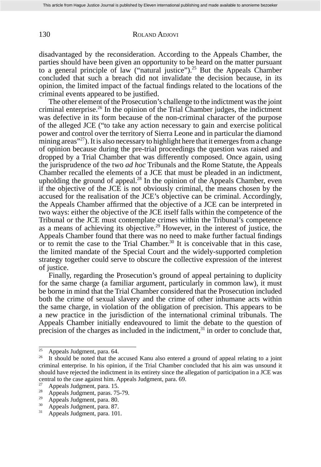disadvantaged by the reconsideration. According to the Appeals Chamber, the parties should have been given an opportunity to be heard on the matter pursuant to a general principle of law ("natural justice").<sup>25</sup> But the Appeals Chamber concluded that such a breach did not invalidate the decision because, in its opinion, the limited impact of the factual fi ndings related to the locations of the criminal events appeared to be justified.

 The other element of the Prosecution's challenge to the indictment was the joint criminal enterprise.<sup>26</sup> In the opinion of the Trial Chamber judges, the indictment was defective in its form because of the non-criminal character of the purpose of the alleged JCE ("to take any action necessary to gain and exercise political power and control over the territory of Sierra Leone and in particular the diamond  $\overline{\text{mining}}$  areas"<sup>27</sup>). It is also necessary to highlight here that it emerges from a change of opinion because during the pre-trial proceedings the question was raised and dropped by a Trial Chamber that was differently composed. Once again, using the jurisprudence of the two *ad hoc* Tribunals and the Rome Statute, the Appeals Chamber recalled the elements of a JCE that must be pleaded in an indictment, upholding the ground of appeal.<sup>28</sup> In the opinion of the Appeals Chamber, even if the objective of the JCE is not obviously criminal, the means chosen by the accused for the realisation of the JCE's objective can be criminal. Accordingly, the Appeals Chamber affirmed that the objective of a JCE can be interpreted in two ways: either the objective of the JCE itself falls within the competence of the Tribunal or the JCE must contemplate crimes within the Tribunal's competence as a means of achieving its objective.29 However, in the interest of justice, the Appeals Chamber found that there was no need to make further factual findings or to remit the case to the Trial Chamber.<sup>30</sup> It is conceivable that in this case, the limited mandate of the Special Court and the widely-supported completion strategy together could serve to obscure the collective expression of the interest of justice.

 Finally, regarding the Prosecution's ground of appeal pertaining to duplicity for the same charge (a familiar argument, particularly in common law), it must be borne in mind that the Trial Chamber considered that the Prosecution included both the crime of sexual slavery and the crime of other inhumane acts within the same charge, in violation of the obligation of precision. This appears to be a new practice in the jurisdiction of the international criminal tribunals. The Appeals Chamber initially endeavoured to limit the debate to the question of precision of the charges as included in the indictment, $31$  in order to conclude that,

 $rac{25}{26}$  Appeals Judgment, para. 64.

<sup>26</sup> It should be noted that the accused Kanu also entered a ground of appeal relating to a joint criminal enterprise. In his opinion, if the Trial Chamber concluded that his aim was unsound it should have rejected the indictment in its entirety since the allegation of participation in a JCE was central to the case against him. Appeals Judgment, para. 69.

<sup>&</sup>lt;sup>27</sup> Appeals Judgment, para. 15.<br>
<sup>28</sup> Appeals Judgment, paras. 75-79.

 $^{29}$  Appeals Judgment, para. 80.

 $30^{30}$  Appeals Judgment, para. 87.<br>Appeals Judgment, para. 101.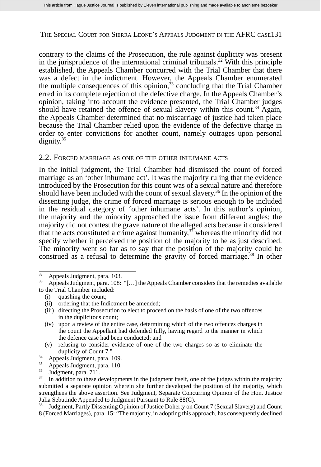contrary to the claims of the Prosecution, the rule against duplicity was present in the jurisprudence of the international criminal tribunals.<sup>32</sup> With this principle established, the Appeals Chamber concurred with the Trial Chamber that there was a defect in the indictment. However, the Appeals Chamber enumerated the multiple consequences of this opinion, $33$  concluding that the Trial Chamber erred in its complete rejection of the defective charge. In the Appeals Chamber's opinion, taking into account the evidence presented, the Trial Chamber judges should have retained the offence of sexual slavery within this count.<sup>34</sup> Again, the Appeals Chamber determined that no miscarriage of justice had taken place because the Trial Chamber relied upon the evidence of the defective charge in order to enter convictions for another count, namely outrages upon personal dignity.<sup>35</sup>

#### 2.2. FORCED MARRIAGE AS ONE OF THE OTHER INHUMANE ACTS

In the initial judgment, the Trial Chamber had dismissed the count of forced marriage as an 'other inhumane act'. It was the majority ruling that the evidence introduced by the Prosecution for this count was of a sexual nature and therefore should have been included with the count of sexual slavery.<sup>36</sup> In the opinion of the dissenting judge, the crime of forced marriage is serious enough to be included in the residual category of 'other inhumane acts'. In this author's opinion, the majority and the minority approached the issue from different angles; the majority did not contest the grave nature of the alleged acts because it considered that the acts constituted a crime against humanity,  $3<sup>7</sup>$  whereas the minority did not specify whether it perceived the position of the majority to be as just described. The minority went so far as to say that the position of the majority could be construed as a refusal to determine the gravity of forced marriage.38 In other

- 34 Appeals Judgment, para. 109.
- $\frac{35}{36}$  Appeals Judgment, para. 110.

38 Judgment, Partly Dissenting Opinion of Justice Doherty on Count 7 (Sexual Slavery) and Count 8 (Forced Marriages), para. 15: "The majority, in adopting this approach, has consequently declined

 $\frac{32}{32}$  Appeals Judgment, para. 103.

<sup>&</sup>lt;sup>33</sup> Appeals Judgment, para. 108: "[...] the Appeals Chamber considers that the remedies available to the Trial Chamber included:

<sup>(</sup>i) quashing the count;

<sup>(</sup>ii) ordering that the Indictment be amended;

<sup>(</sup>iii) directing the Prosecution to elect to proceed on the basis of one of the two offences in the duplicitous count;

<sup>(</sup>iv) upon a review of the entire case, determining which of the two offences charges in the count the Appellant had defended fully, having regard to the manner in which the defence case had been conducted; and

<sup>(</sup>v) refusing to consider evidence of one of the two charges so as to eliminate the duplicity of Count 7."

 $\frac{36}{37}$  Judgment, para. 711.

In addition to these developments in the judgment itself, one of the judges within the majority submitted a separate opinion wherein she further developed the position of the majority, which strengthens the above assertion. See Judgment, Separate Concurring Opinion of the Hon. Justice Julia Sebutinde Appended to Judgment Pursuant to Rule 88(C).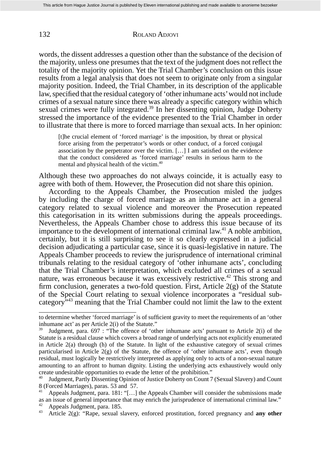words, the dissent addresses a question other than the substance of the decision of the majority, unless one presumes that the text of the judgment does not reflect the totality of the majority opinion. Yet the Trial Chamber's conclusion on this issue results from a legal analysis that does not seem to originate only from a singular majority position. Indeed, the Trial Chamber, in its description of the applicable law, specified that the residual category of 'other inhumane acts' would not include crimes of a sexual nature since there was already a specific category within which sexual crimes were fully integrated.<sup>39</sup> In her dissenting opinion, Judge Doherty stressed the importance of the evidence presented to the Trial Chamber in order to illustrate that there is more to forced marriage than sexual acts. In her opinion:

[t]he crucial element of 'forced marriage' is the imposition, by threat or physical force arising from the perpetrator's words or other conduct, of a forced conjugal association by the perpetrator over the victim.  $[...]$  I am satisfied on the evidence that the conduct considered as 'forced marriage' results in serious harm to the mental and physical health of the victim.40

Although these two approaches do not always coincide, it is actually easy to agree with both of them. However, the Prosecution did not share this opinion.

 According to the Appeals Chamber, the Prosecution misled the judges by including the charge of forced marriage as an inhumane act in a general category related to sexual violence and moreover the Prosecution repeated this categorisation in its written submissions during the appeals proceedings. Nevertheless, the Appeals Chamber chose to address this issue because of its importance to the development of international criminal law.<sup>41</sup> A noble ambition, certainly, but it is still surprising to see it so clearly expressed in a judicial decision adjudicating a particular case, since it is quasi-legislative in nature. The Appeals Chamber proceeds to review the jurisprudence of international criminal tribunals relating to the residual category of 'other inhumane acts', concluding that the Trial Chamber's interpretation, which excluded all crimes of a sexual nature, was erroneous because it was excessively restrictive.<sup>42</sup> This strong and firm conclusion, generates a two-fold question. First, Article  $2(g)$  of the Statute of the Special Court relating to sexual violence incorporates a "residual subcategory<sup> $\dot{y}$ ,<sup>43</sup> meaning that the Trial Chamber could not limit the law to the extent</sup>

to determine whether 'forced marriage' is of sufficient gravity to meet the requirements of an 'other inhumane act' as per Article 2(i) of the Statute."

Judgment, para. 697 : "The offence of 'other inhumane acts' pursuant to Article 2(i) of the Statute is a residual clause which covers a broad range of underlying acts not explicitly enumerated in Article 2(a) through (h) of the Statute. In light of the exhaustive category of sexual crimes particularised in Article 2(g) of the Statute, the offence of 'other inhumane acts', even though residual, must logically be restrictively interpreted as applying only to acts of a non-sexual nature amounting to an affront to human dignity. Listing the underlying acts exhaustively would only create undesirable opportunities to evade the letter of the prohibition."

Judgment, Partly Dissenting Opinion of Justice Doherty on Count 7 (Sexual Slavery) and Count 8 (Forced Marriages), paras. 53 and 57.

Appeals Judgment, para. 181: "[...] the Appeals Chamber will consider the submissions made as an issue of general importance that may enrich the jurisprudence of international criminal law." 42 Appeals Judgment, para. 185.

<sup>43</sup> Article 2(g): "Rape, sexual slavery, enforced prostitution, forced pregnancy and **any other**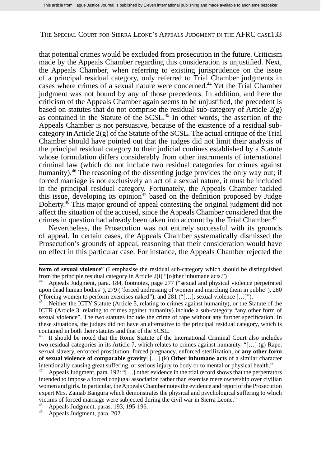that potential crimes would be excluded from prosecution in the future. Criticism made by the Appeals Chamber regarding this consideration is unjustified. Next, the Appeals Chamber, when referring to existing jurisprudence on the issue of a principal residual category, only referred to Trial Chamber judgments in cases where crimes of a sexual nature were concerned.44 Yet the Trial Chamber judgment was not bound by any of those precedents. In addition, and here the criticism of the Appeals Chamber again seems to be unjustified, the precedent is based on statutes that do not comprise the residual sub-category of Article  $2(g)$ as contained in the Statute of the SCSL.<sup>45</sup> In other words, the assertion of the Appeals Chamber is not persuasive, because of the existence of a residual subcategory in Article  $2(g)$  of the Statute of the SCSL. The actual critique of the Trial Chamber should have pointed out that the judges did not limit their analysis of the principal residual category to their judicial confines established by a Statute whose formulation differs considerably from other instruments of international criminal law (which do not include two residual categories for crimes against humanity).<sup>46</sup> The reasoning of the dissenting judge provides the only way out; if forced marriage is not exclusively an act of a sexual nature, it must be included in the principal residual category. Fortunately, the Appeals Chamber tackled this issue, developing its opinion<sup>47</sup> based on the definition proposed by Judge Doherty.<sup>48</sup> This major ground of appeal contesting the original judgment did not affect the situation of the accused, since the Appeals Chamber considered that the crimes in question had already been taken into account by the Trial Chamber.<sup>49</sup>

 Nevertheless, the Prosecution was not entirely successful with its grounds of appeal. In certain cases, the Appeals Chamber systematically dismissed the Prosecution's grounds of appeal, reasoning that their consideration would have no effect in this particular case. For instance, the Appeals Chamber rejected the

**form of sexual violence**" (I emphasise the residual sub-category which should be distinguished from the principle residual category in Article 2(i) "[o]ther inhumane acts.")

Appeals Judgment, para. 184, footnotes, page 277 ("sexual and physical violence perpetrated upon dead human bodies"), 279 ("forced undressing of women and marching them in public"), 280 ("forcing women to perform exercises naked"), and 281 ("[...], sexual violence [...]").

Neither the ICTY Statute (Article 5, relating to crimes against humanity), or the Statute of the ICTR (Article 3, relating to crimes against humanity) include a sub-category "any other form of sexual violence". The two statutes include the crime of rape without any further specification. In these situations, the judges did not have an alternative to the principal residual category, which is contained in both their statutes and that of the SCSL.

It should be noted that the Rome Statute of the International Criminal Court also includes two residual categories in its Article 7, which relates to crimes against humanity. "[…] (g) Rape, sexual slavery, enforced prostitution, forced pregnancy, enforced sterilization, or **any other form of sexual violence of comparable gravity**; […] (k) **Other inhumane acts** of a similar character intentionally causing great suffering, or serious injury to body or to mental or physical health."

<sup>&</sup>lt;sup>47</sup> Appeals Judgment, para. 192: "[...] other evidence in the trial record shows that the perpetrators intended to impose a forced conjugal association rather than exercise mere ownership over civilian women and girls. In particular, the Appeals Chamber notes the evidence and report of the Prosecution expert Mrs. Zainab Bangura which demonstrates the physical and psychological suffering to which victims of forced marriage were subjected during the civil war in Sierra Leone."

<sup>&</sup>lt;sup>48</sup> Appeals Judgment, paras. 193, 195-196.<br><sup>49</sup> Appeals Judgment, para. 202.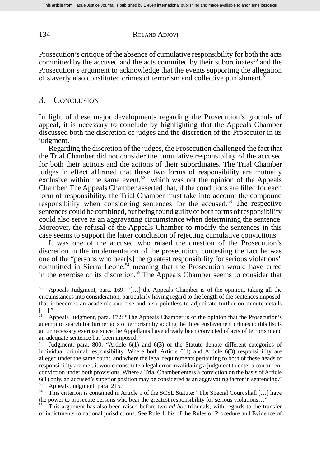Prosecution's critique of the absence of cumulative responsibility for both the acts committed by the accused and the acts commited by their subordinates<sup>50</sup> and the Prosecution's argument to acknowledge that the events supporting the allegation of slaverly also constituted crimes of terrorism and collective punishment.<sup>51</sup>

#### 3. CONCLUSION

In light of these major developments regarding the Prosecution's grounds of appeal, it is necessary to conclude by highlighting that the Appeals Chamber discussed both the discretion of judges and the discretion of the Prosecutor in its judgment.

 Regarding the discretion of the judges, the Prosecution challenged the fact that the Trial Chamber did not consider the cumulative responsibility of the accused for both their actions and the actions of their subordinates. The Trial Chamber judges in effect affirmed that these two forms of responsibility are mutually exclusive within the same event,<sup>52</sup> which was not the opinion of the Appeals Chamber. The Appeals Chamber asserted that, if the conditions are filled for each form of responsibility, the Trial Chamber must take into account the compound responsibility when considering sentences for the accused.<sup>53</sup> The respective sentences could be combined, but being found guilty of both forms of responsibility could also serve as an aggravating circumstance when determining the sentence. Moreover, the refusal of the Appeals Chamber to modify the sentences in this case seems to support the latter conclusion of rejecting cumulative convictions.

 It was one of the accused who raised the question of the Prosecution's discretion in the implementation of the prosecution, contesting the fact he was one of the "persons who bear[s] the greatest responsibility for serious violations" committed in Sierra Leone,<sup>54</sup> meaning that the Prosecution would have erred in the exercise of its discretion.<sup>55</sup> The Appeals Chamber seems to consider that

<sup>50</sup> Appeals Judgment, para. 169: "[…] the Appeals Chamber is of the opinion, taking all the circumstances into consideration, particularly having regard to the length of the sentences imposed, that it becomes an academic exercise and also pointless to adjudicate further on minute details  $\left[\ldots\right]'$ 

<sup>51</sup> Appeals Judgment, para. 172: "The Appeals Chamber is of the opinion that the Prosecution's attempt to search for further acts of terrorism by adding the three enslavement crimes to this list is an unnecessary exercise since the Appellants have already been convicted of acts of terrorism and an adequate sentence has been imposed."<br> $52 \text{ஈ} \times 200 \cdot \text{``Artele } 6(1)$ 

Judgment, para. 800: "Article 6(1) and 6(3) of the Statute denote different categories of individual criminal responsibility. Where both Article 6(1) and Article 6(3) responsibility are alleged under the same count, and where the legal requirements pertaining to both of these heads of responsibility are met, it would constitute a legal error invalidating a judgment to enter a concurrent conviction under both provisions. Where a Trial Chamber enters a conviction on the basis of Article 6(1) only, an accused's superior position may be considered as an aggravating factor in sentencing."

<sup>&</sup>lt;sup>53</sup> Appeals Judgment, para. 215.<br><sup>54</sup> This criterion is contained in Article 1 of the SCSL Statute: "The Special Court shall [...] have the power to prosecute persons who bear the greatest responsibility for serious violations…"

<sup>55</sup> This argument has also been raised before two *ad hoc* tribunals, with regards to the transfer of indictments to national jurisdictions. See Rule 11b*is* of the Rules of Procedure and Evidence of